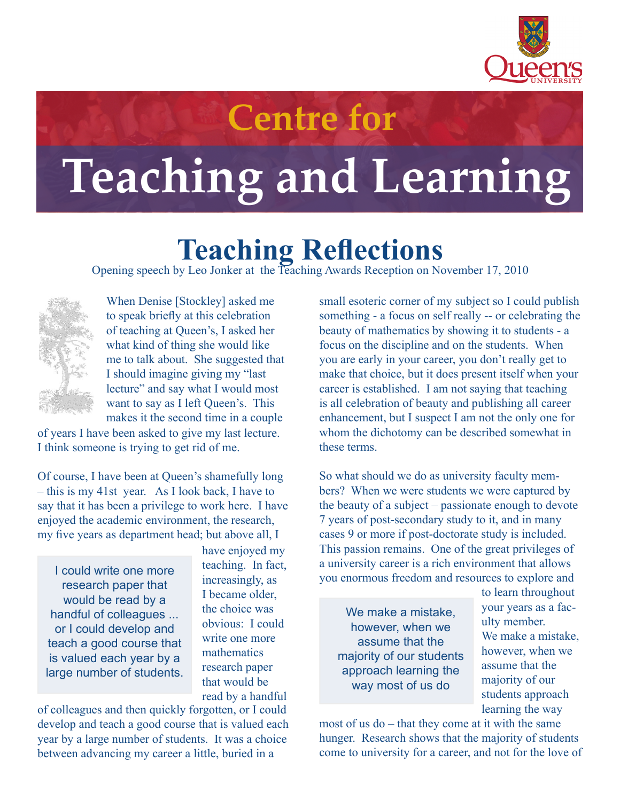

## **Centre for**

## **Teaching and Learning**

## **Teaching Reflections**<br>Opening speech by Leo Jonker at the Teaching Awards Reception on November 17, 2010



When Denise [Stockley] asked me to speak briefly at this celebration of teaching at Queen's, I asked her what kind of thing she would like me to talk about. She suggested that I should imagine giving my "last lecture" and say what I would most want to say as I left Queen's. This makes it the second time in a couple

of years I have been asked to give my last lecture. I think someone is trying to get rid of me.

Of course, I have been at Queen's shamefully long – this is my 41st year. As I look back, I have to say that it has been a privilege to work here. I have enjoyed the academic environment, the research, my five years as department head; but above all, I

I could write one more research paper that would be read by a handful of colleagues ... or I could develop and teach a good course that is valued each year by a large number of students.

have enjoyed my teaching. In fact, increasingly, as I became older, the choice was obvious: I could write one more mathematics research paper that would be read by a handful

of colleagues and then quickly forgotten, or I could develop and teach a good course that is valued each year by a large number of students. It was a choice between advancing my career a little, buried in a

small esoteric corner of my subject so I could publish something - a focus on self really -- or celebrating the beauty of mathematics by showing it to students - a focus on the discipline and on the students. When you are early in your career, you don't really get to make that choice, but it does present itself when your career is established. I am not saying that teaching is all celebration of beauty and publishing all career enhancement, but I suspect I am not the only one for whom the dichotomy can be described somewhat in these terms.

So what should we do as university faculty members? When we were students we were captured by the beauty of a subject – passionate enough to devote 7 years of post-secondary study to it, and in many cases 9 or more if post-doctorate study is included. This passion remains. One of the great privileges of a university career is a rich environment that allows you enormous freedom and resources to explore and

We make a mistake, however, when we assume that the majority of our students approach learning the way most of us do

to learn throughout your years as a faculty member. We make a mistake, however, when we assume that the majority of our students approach learning the way

most of us do – that they come at it with the same hunger. Research shows that the majority of students come to university for a career, and not for the love of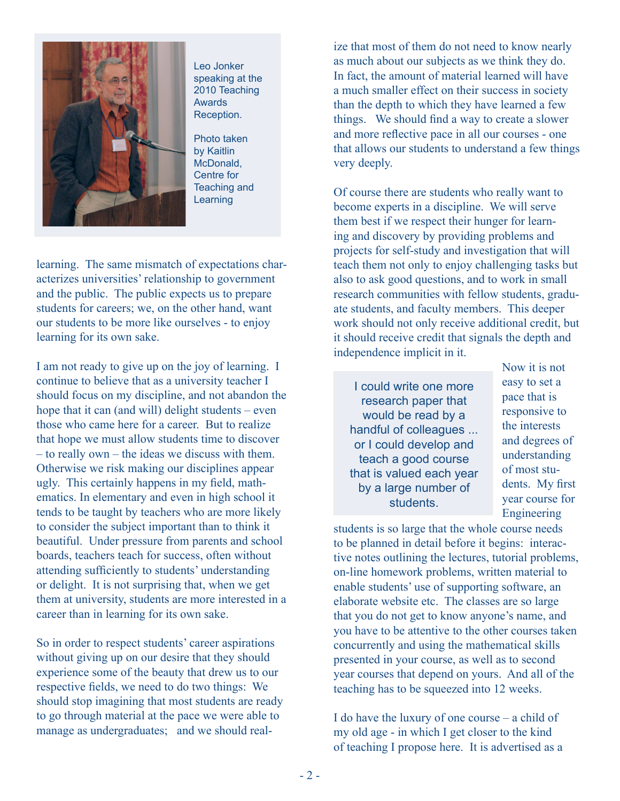

Leo Jonker speaking at the 2010 Teaching Awards Reception.

Photo taken by Kaitlin McDonald, Centre for Teaching and Learning

learning. The same mismatch of expectations characterizes universities' relationship to government and the public. The public expects us to prepare students for careers; we, on the other hand, want our students to be more like ourselves - to enjoy learning for its own sake.

I am not ready to give up on the joy of learning. I continue to believe that as a university teacher I should focus on my discipline, and not abandon the hope that it can (and will) delight students – even those who came here for a career. But to realize that hope we must allow students time to discover – to really own – the ideas we discuss with them. Otherwise we risk making our disciplines appear ugly. This certainly happens in my field, mathematics. In elementary and even in high school it tends to be taught by teachers who are more likely to consider the subject important than to think it beautiful. Under pressure from parents and school boards, teachers teach for success, often without attending sufficiently to students' understanding or delight. It is not surprising that, when we get them at university, students are more interested in a career than in learning for its own sake.

So in order to respect students' career aspirations without giving up on our desire that they should experience some of the beauty that drew us to our respective fields, we need to do two things: We should stop imagining that most students are ready to go through material at the pace we were able to manage as undergraduates; and we should realize that most of them do not need to know nearly as much about our subjects as we think they do. In fact, the amount of material learned will have a much smaller effect on their success in society than the depth to which they have learned a few things. We should find a way to create a slower and more reflective pace in all our courses - one that allows our students to understand a few things very deeply.

Of course there are students who really want to become experts in a discipline. We will serve them best if we respect their hunger for learning and discovery by providing problems and projects for self-study and investigation that will teach them not only to enjoy challenging tasks but also to ask good questions, and to work in small research communities with fellow students, graduate students, and faculty members. This deeper work should not only receive additional credit, but it should receive credit that signals the depth and independence implicit in it.

I could write one more research paper that would be read by a handful of colleagues ... or I could develop and teach a good course that is valued each year by a large number of students.

Now it is not easy to set a pace that is responsive to the interests and degrees of understanding of most students. My first year course for Engineering

students is so large that the whole course needs to be planned in detail before it begins: interactive notes outlining the lectures, tutorial problems, on-line homework problems, written material to enable students' use of supporting software, an elaborate website etc. The classes are so large that you do not get to know anyone's name, and you have to be attentive to the other courses taken concurrently and using the mathematical skills presented in your course, as well as to second year courses that depend on yours. And all of the teaching has to be squeezed into 12 weeks.

I do have the luxury of one course – a child of my old age - in which I get closer to the kind of teaching I propose here. It is advertised as a